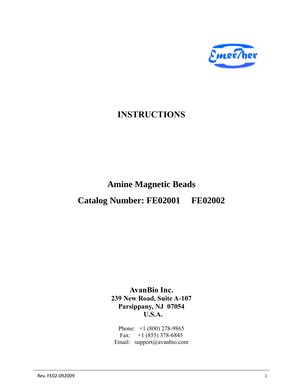

## **INSTRUCTIONS**

# **Amine Magnetic Beads Catalog Number: FE02001 FE02002**

**AvanBio Inc. 239 New Road, Suite A-107 Parsippany, NJ 07054 U.S.A.**

Phone: +1 (800) 278-9865 Fax:  $+1$  (855) 378-6845 Email: support@avanbio.com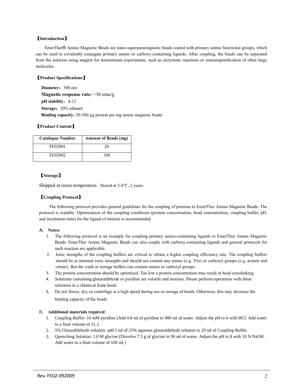#### 【**Introduction**】

EmerTher® Amine Magnetic Beads are nano-superparamagnetic beads coated with primary amine functional groups, which can be used to covalently conjugate primary amine or carboxy-containing ligands. After coupling, the beads can be separated from the solution using magnet for downstream experiments, such as enzymatic reactions or immunopurification of other large molecules.

#### 【**Product Specifications**】

Diameter: 500 nm **Magnetic response rate:** >30 emu/g **pH** stability: 4-12 Storage: 20% ethanol **Binding capacity:** 50-500 µg protein per mg amine magnetic beads

#### 【**Product Content**】

| <b>Catalogue Number</b> | <b>Amount of Beads (mg)</b> |
|-------------------------|-----------------------------|
| FE02001                 | 20                          |
| FE02002                 | 100                         |

#### 【**Storage**】

Shipped at room temperature. Stored at 2-8°C, 2 years.

#### 【**Coupling Protocol**】

The following protocol provides general guidelines for the coupling of proteins to EmerTher Amine Magnetic Beads. The protocol is scalable. Optimization of the coupling conditions (protein concentration, bead concentration, coupling buffer, pH, and incubation time) for the ligand of interest is recommended.

#### **A. Notes:**

- 1. The following protocol is an example for coupling primary amine-containing ligands to EmerTher Amine Magnetic Beads. EmerTher Amine Magnetic Beads can also couple with carboxy-containing ligands and general protocols for such reaction are applicable.
- 2. Ionic strengths of the coupling buffers are critical to obtain a higher coupling efficiency rate. The coupling buffers should be at minimal ionic strengths and should not contain any amino (e.g. Tris) or carboxyl groups (e.g. acetate and citrate). But the wash or storage buffers can contain amino or carboxyl groups.
- 3. The protein concentration should be optimized. Too low a protein concentration may result in bead crosslinking.
- 4. Solutions containing glutaraldehyde or pyridine are volatile and noxious. Please perform operations with these solutions in a chemical fume hood.
- 5. Do not freeze, dry, or centrifuge at a high speed during use or storage of beads. Otherwise, this may decrease the binding capacity of the beads.

#### B. **Additional materials required**:

- 1. Coupling Buffer: 10 mM pyridine (Add 0.8 ml of pyridine to 900 ml of water. Adjust the pH to 6 with HCl. Add water to a final volume of 1L.)
- 2. 5% Glutaraldehyde solution: add 5 ml of 25% aqueous glutaraldehyde solution to 20 ml of Coupling Buffer.
- 3. Quenching Solution: 1.0 M glycine (Dissolve 7.5 g of glycine in 90 ml of water. Adjust the pH to 8 with 10 N NaOH. Add water to a final volume of 100 ml.)